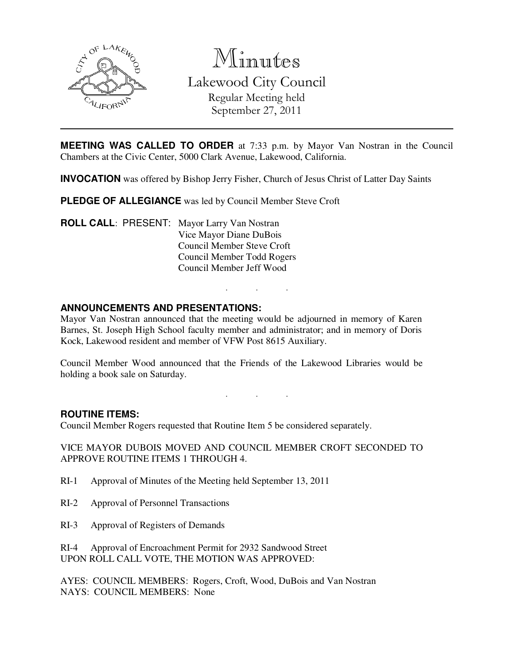

Minutes

Lakewood City Council Regular Meeting held September 27, 2011

**MEETING WAS CALLED TO ORDER** at 7:33 p.m. by Mayor Van Nostran in the Council Chambers at the Civic Center, 5000 Clark Avenue, Lakewood, California.

**INVOCATION** was offered by Bishop Jerry Fisher, Church of Jesus Christ of Latter Day Saints

**PLEDGE OF ALLEGIANCE** was led by Council Member Steve Croft

**ROLL CALL**: PRESENT: Mayor Larry Van Nostran Vice Mayor Diane DuBois Council Member Steve Croft Council Member Todd Rogers Council Member Jeff Wood

### **ANNOUNCEMENTS AND PRESENTATIONS:**

Mayor Van Nostran announced that the meeting would be adjourned in memory of Karen Barnes, St. Joseph High School faculty member and administrator; and in memory of Doris Kock, Lakewood resident and member of VFW Post 8615 Auxiliary.

. . .

Council Member Wood announced that the Friends of the Lakewood Libraries would be holding a book sale on Saturday.

# . . .

#### **ROUTINE ITEMS:**

Council Member Rogers requested that Routine Item 5 be considered separately.

VICE MAYOR DUBOIS MOVED AND COUNCIL MEMBER CROFT SECONDED TO APPROVE ROUTINE ITEMS 1 THROUGH 4.

- RI-1 Approval of Minutes of the Meeting held September 13, 2011
- RI-2 Approval of Personnel Transactions
- RI-3 Approval of Registers of Demands

RI-4 Approval of Encroachment Permit for 2932 Sandwood Street UPON ROLL CALL VOTE, THE MOTION WAS APPROVED:

AYES: COUNCIL MEMBERS: Rogers, Croft, Wood, DuBois and Van Nostran NAYS: COUNCIL MEMBERS: None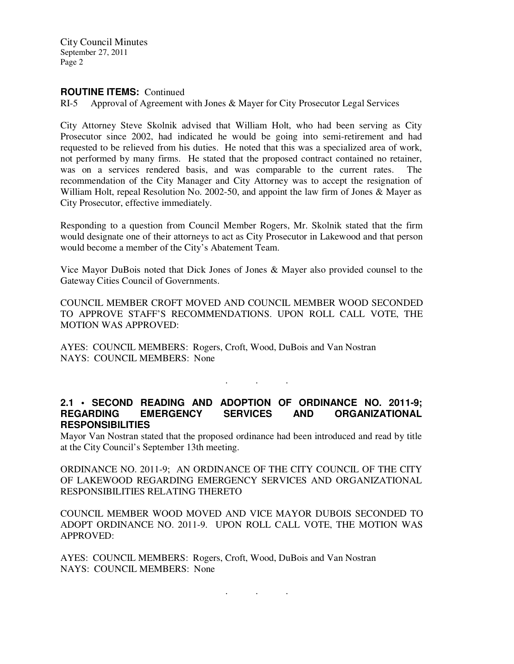City Council Minutes September 27, 2011 Page 2

#### **ROUTINE ITEMS:** Continued

RI-5 Approval of Agreement with Jones & Mayer for City Prosecutor Legal Services

City Attorney Steve Skolnik advised that William Holt, who had been serving as City Prosecutor since 2002, had indicated he would be going into semi-retirement and had requested to be relieved from his duties. He noted that this was a specialized area of work, not performed by many firms. He stated that the proposed contract contained no retainer, was on a services rendered basis, and was comparable to the current rates. The recommendation of the City Manager and City Attorney was to accept the resignation of William Holt, repeal Resolution No. 2002-50, and appoint the law firm of Jones & Mayer as City Prosecutor, effective immediately.

Responding to a question from Council Member Rogers, Mr. Skolnik stated that the firm would designate one of their attorneys to act as City Prosecutor in Lakewood and that person would become a member of the City's Abatement Team.

Vice Mayor DuBois noted that Dick Jones of Jones & Mayer also provided counsel to the Gateway Cities Council of Governments.

COUNCIL MEMBER CROFT MOVED AND COUNCIL MEMBER WOOD SECONDED TO APPROVE STAFF'S RECOMMENDATIONS. UPON ROLL CALL VOTE, THE MOTION WAS APPROVED:

AYES: COUNCIL MEMBERS: Rogers, Croft, Wood, DuBois and Van Nostran NAYS: COUNCIL MEMBERS: None

**2.1 • SECOND READING AND ADOPTION OF ORDINANCE NO. 2011-9; REGARDING EMERGENCY SERVICES AND ORGANIZATIONAL RESPONSIBILITIES** 

. . .

Mayor Van Nostran stated that the proposed ordinance had been introduced and read by title at the City Council's September 13th meeting.

ORDINANCE NO. 2011-9; AN ORDINANCE OF THE CITY COUNCIL OF THE CITY OF LAKEWOOD REGARDING EMERGENCY SERVICES AND ORGANIZATIONAL RESPONSIBILITIES RELATING THERETO

COUNCIL MEMBER WOOD MOVED AND VICE MAYOR DUBOIS SECONDED TO ADOPT ORDINANCE NO. 2011-9. UPON ROLL CALL VOTE, THE MOTION WAS APPROVED:

AYES: COUNCIL MEMBERS: Rogers, Croft, Wood, DuBois and Van Nostran NAYS: COUNCIL MEMBERS: None

. . .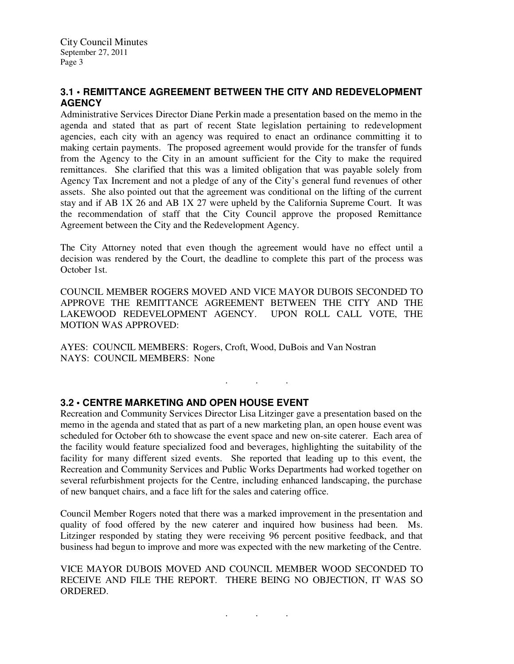# **3.1 • REMITTANCE AGREEMENT BETWEEN THE CITY AND REDEVELOPMENT AGENCY**

Administrative Services Director Diane Perkin made a presentation based on the memo in the agenda and stated that as part of recent State legislation pertaining to redevelopment agencies, each city with an agency was required to enact an ordinance committing it to making certain payments. The proposed agreement would provide for the transfer of funds from the Agency to the City in an amount sufficient for the City to make the required remittances. She clarified that this was a limited obligation that was payable solely from Agency Tax Increment and not a pledge of any of the City's general fund revenues of other assets. She also pointed out that the agreement was conditional on the lifting of the current stay and if AB 1X 26 and AB 1X 27 were upheld by the California Supreme Court. It was the recommendation of staff that the City Council approve the proposed Remittance Agreement between the City and the Redevelopment Agency.

The City Attorney noted that even though the agreement would have no effect until a decision was rendered by the Court, the deadline to complete this part of the process was October 1st.

COUNCIL MEMBER ROGERS MOVED AND VICE MAYOR DUBOIS SECONDED TO APPROVE THE REMITTANCE AGREEMENT BETWEEN THE CITY AND THE LAKEWOOD REDEVELOPMENT AGENCY. UPON ROLL CALL VOTE, THE MOTION WAS APPROVED:

. . .

AYES: COUNCIL MEMBERS: Rogers, Croft, Wood, DuBois and Van Nostran NAYS: COUNCIL MEMBERS: None

# **3.2 • CENTRE MARKETING AND OPEN HOUSE EVENT**

Recreation and Community Services Director Lisa Litzinger gave a presentation based on the memo in the agenda and stated that as part of a new marketing plan, an open house event was scheduled for October 6th to showcase the event space and new on-site caterer. Each area of the facility would feature specialized food and beverages, highlighting the suitability of the facility for many different sized events. She reported that leading up to this event, the Recreation and Community Services and Public Works Departments had worked together on several refurbishment projects for the Centre, including enhanced landscaping, the purchase of new banquet chairs, and a face lift for the sales and catering office.

Council Member Rogers noted that there was a marked improvement in the presentation and quality of food offered by the new caterer and inquired how business had been. Ms. Litzinger responded by stating they were receiving 96 percent positive feedback, and that business had begun to improve and more was expected with the new marketing of the Centre.

VICE MAYOR DUBOIS MOVED AND COUNCIL MEMBER WOOD SECONDED TO RECEIVE AND FILE THE REPORT. THERE BEING NO OBJECTION, IT WAS SO ORDERED.

. . .